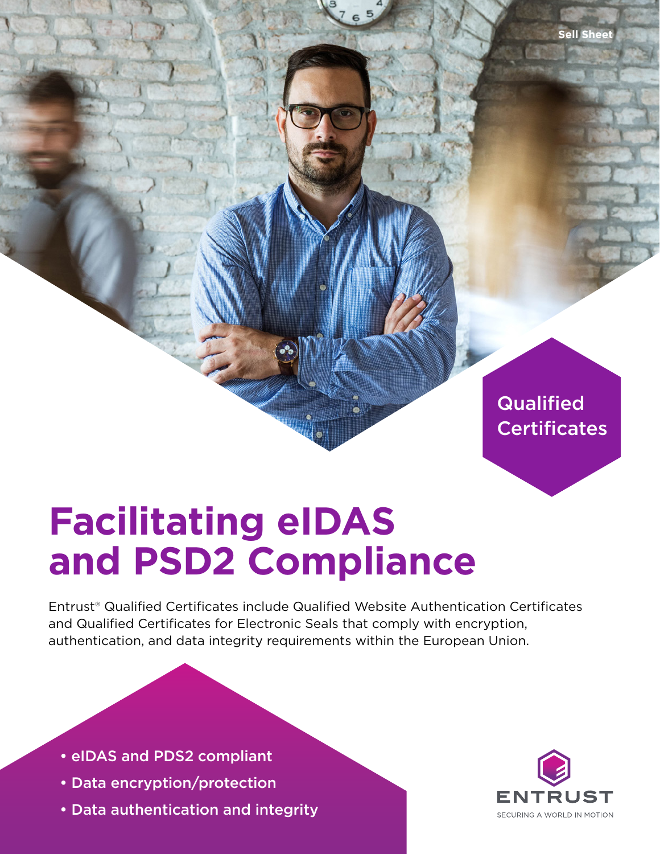**Sell Sheet**

**Qualified Certificates** 

# **Facilitating eIDAS and PSD2 Compliance**

Entrust® Qualified Certificates include Qualified Website Authentication Certificates and Qualified Certificates for Electronic Seals that comply with encryption, authentication, and data integrity requirements within the European Union.

- eIDAS and PDS2 compliant
- Data encryption/protection
- Data authentication and integrity

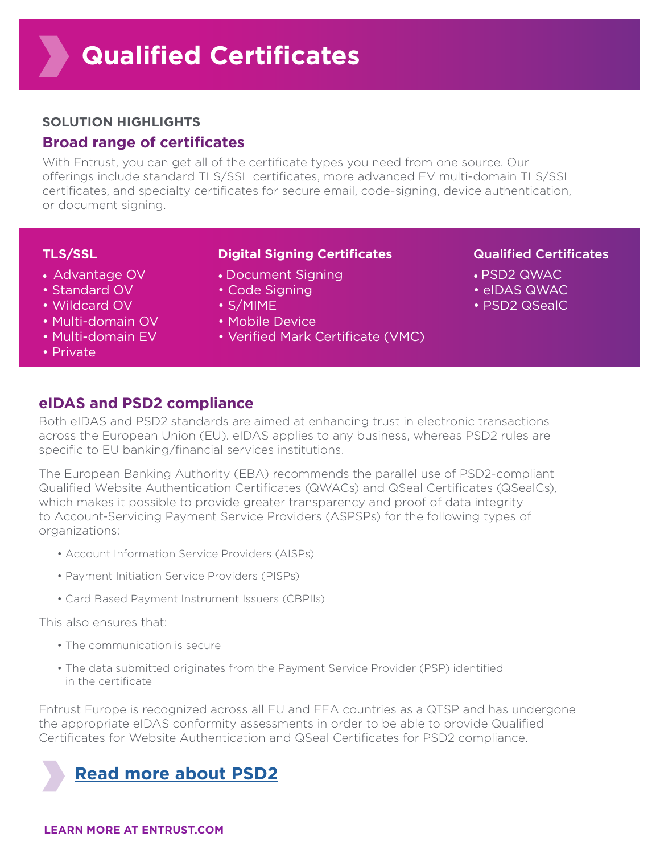#### **SOLUTION HIGHLIGHTS**

## **Broad range of certificates**

With Entrust, you can get all of the certificate types you need from one source. Our offerings include standard TLS/SSL certificates, more advanced EV multi-domain TLS/SSL certificates, and specialty certificates for secure email, code-signing, device authentication, or document signing.

#### **[TLS/SSL](https://www.entrustdatacard.com/products/categories/ssl-certificates)**

- Advantage OV
- Standard OV
- Wildcard OV
- Multi-domain OV
- Multi-domain EV
- Private

#### **Digital Signing Certificates**

- Document Signing
- Code Signing
- S/MIME
- Mobile Device
- Verified Mark Certificate (VMC)

#### Qualified Certificates

- PSD2 QWAC
- eIDAS QWAC
- PSD2 QSealC

## **eIDAS and PSD2 compliance**

Both eIDAS and PSD2 standards are aimed at enhancing trust in electronic transactions across the European Union (EU). eIDAS applies to any business, whereas PSD2 rules are specific to EU banking/financial services institutions.

The European Banking Authority (EBA) recommends the parallel use of PSD2-compliant Qualified Website Authentication Certificates (QWACs) and QSeal Certificates (QSealCs), which makes it possible to provide greater transparency and proof of data integrity to Account-Servicing Payment Service Providers (ASPSPs) for the following types of organizations:

- Account Information Service Providers (AISPs)
- Payment Initiation Service Providers (PISPs)
- Card Based Payment Instrument Issuers (CBPIIs)

This also ensures that:

- The communication is secure
- The data submitted originates from the Payment Service Provider (PSP) identified in the certificate

Entrust Europe is recognized across all EU and EEA countries as a QTSP and has undergone the appropriate eIDAS conformity assessments in order to be able to provide Qualified Certificates for Website Authentication and QSeal Certificates for PSD2 compliance.

## **[Read more about PSD2](https://www.entrustdatacard.com/products/authentication/psd2)**

**LEARN MORE AT ENTRUST.COM**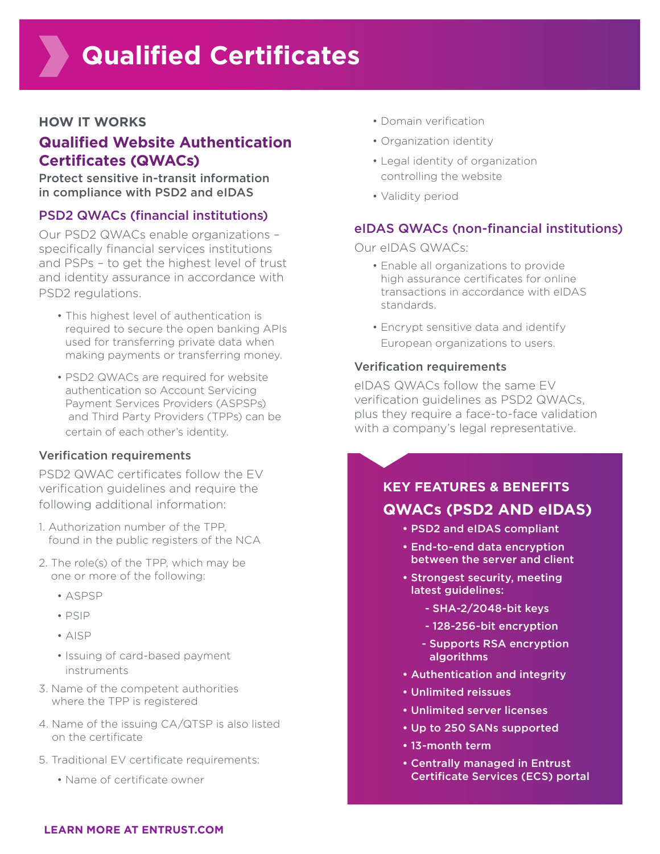#### **HOW IT WORKS**

## **Qualified Website Authentication Certificates (QWACs)**

Protect sensitive in-transit information in compliance with PSD2 and eIDAS

#### PSD2 QWACs (financial institutions)

Our PSD2 QWACs enable organizations – specifically financial services institutions and PSPs – to get the highest level of trust and identity assurance in accordance with PSD2 regulations.

- This highest level of authentication is required to secure the open banking APIs used for transferring private data when making payments or transferring money.
- PSD2 QWACs are required for website authentication so Account Servicing Payment Services Providers (ASPSPs) and Third Party Providers (TPPs) can be certain of each other's identity.

#### Verification requirements

PSD2 QWAC certificates follow the EV verification guidelines and require the following additional information:

- 1. Authorization number of the TPP, found in the public registers of the NCA
- 2. The role(s) of the TPP, which may be one or more of the following:
	- ASPSP
	- PSIP
	- AISP
	- Issuing of card-based payment instruments
- 3. Name of the competent authorities where the TPP is registered
- 4. Name of the issuing CA/QTSP is also listed on the certificate
- 5. Traditional EV certificate requirements:
	- Name of certificate owner
- Domain verification
- Organization identity
- Legal identity of organization controlling the website
- Validity period

#### eIDAS QWACs (non-financial institutions)

Our eIDAS QWACs:

- Enable all organizations to provide high assurance certificates for online transactions in accordance with eIDAS standards.
- Encrypt sensitive data and identify European organizations to users.

#### Verification requirements

eIDAS QWACs follow the same EV verification guidelines as PSD2 QWACs, plus they require a face-to-face validation with a company's legal representative.

## **KEY FEATURES & BENEFITS QWACs (PSD2 AND eIDAS)**

- PSD2 and eIDAS compliant
- End-to-end data encryption between the server and client
- Strongest security, meeting latest guidelines:
	- SHA-2/2048-bit keys
	- 128-256-bit encryption
	- Supports RSA encryption algorithms
- Authentication and integrity
- Unlimited reissues
- Unlimited server licenses
- Up to 250 SANs supported
- 13-month term
- • [Centrally managed in E](https://www.entrustdatacard.com/-/media/documentation/datasheets/sl20-1002-002_ecs_solution_datasheet.pdf?la=en&hash=2D7FED23558D666AE7EC15972F1E5762)ntrust Certificate Services (ECS) portal

#### **LEARN MORE AT ENTRUST.COM**